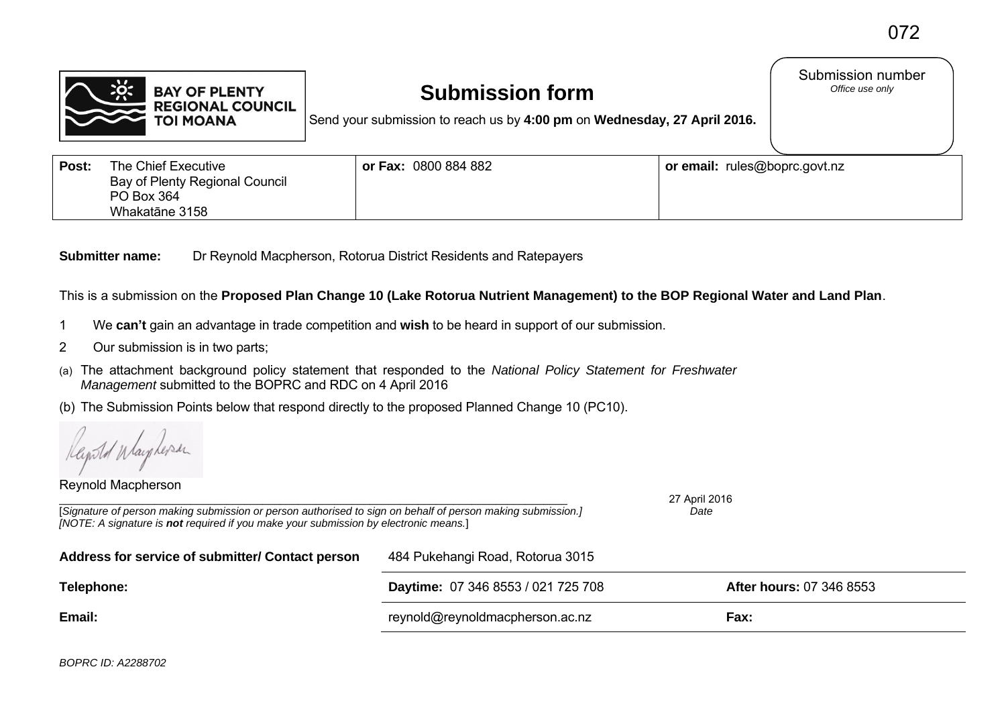Submission number<br>Office use only



# **Submission form**

Send your submission to reach us by **4:00 pm** on **Wednesday, 27 April 2016.**

| Post: | The Chief Executive            | or Fax: 0800 884 882 | or email: rules@boprc.govt.nz |
|-------|--------------------------------|----------------------|-------------------------------|
|       | Bay of Plenty Regional Council |                      |                               |
|       | PO Box 364                     |                      |                               |
|       | Whakatāne 3158                 |                      |                               |

**Submitter name:** Dr Reynold Macpherson, Rotorua District Residents and Ratepayers

This is a submission on the **Proposed Plan Change 10 (Lake Rotorua Nutrient Management) to the BOP Regional Water and Land Plan**.

- 1 We **can't** gain an advantage in trade competition and **wish** to be heard in support of our submission.
- 2 Our submission is in two parts;
- (a) The attachment background policy statement that responded to the *National Policy Statement for Freshwater Management* submitted to the BOPRC and RDC on 4 April 2016
- (b) The Submission Points below that respond directly to the proposed Planned Change 10 (PC10).

*[NOTE: A signature is not required if you make your submission by electronic means.*]

Reynold Macpherson

\_\_\_\_\_\_\_\_\_\_\_\_\_\_\_\_\_\_\_\_\_\_\_\_\_\_\_\_\_\_\_\_\_\_\_\_\_\_\_\_\_\_\_\_\_\_\_\_\_\_\_\_\_\_\_\_\_\_\_\_\_\_\_\_\_\_\_\_\_\_\_\_\_\_\_\_\_\_\_\_\_\_\_\_\_ 27 April 2016 [*Signature of person making submission or person authorised to sign on behalf of person making submission.] Date* 

| Address for service of submitter/ Contact person | 484 Pukehangi Road, Rotorua 3015   |                                 |  |
|--------------------------------------------------|------------------------------------|---------------------------------|--|
| Telephone:                                       | Daytime: 07 346 8553 / 021 725 708 | <b>After hours: 07 346 8553</b> |  |
| Email:                                           | reynold@reynoldmacpherson.ac.nz    | Fax:                            |  |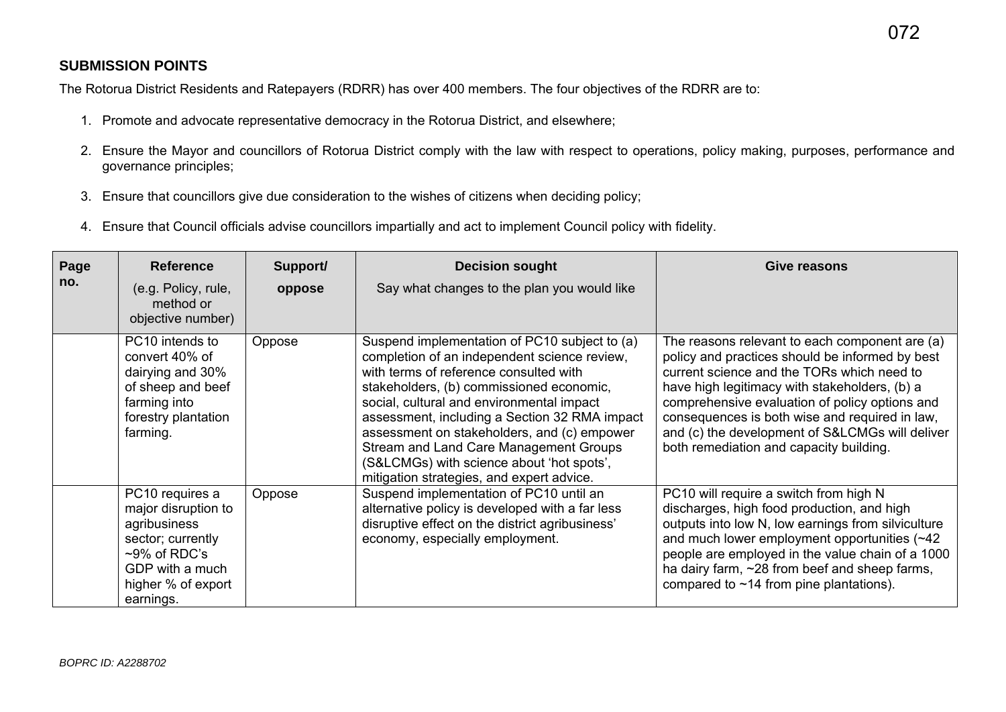## **SUBMISSION POINTS**

The Rotorua District Residents and Ratepayers (RDRR) has over 400 members. The four objectives of the RDRR are to:

- 1. Promote and advocate representative democracy in the Rotorua District, and elsewhere;
- 2. Ensure the Mayor and councillors of Rotorua District comply with the law with respect to operations, policy making, purposes, performance and governance principles;
- 3. Ensure that councillors give due consideration to the wishes of citizens when deciding policy;
- 4. Ensure that Council officials advise councillors impartially and act to implement Council policy with fidelity.

| Page | <b>Reference</b>                                                                                                                                     | Support/ | <b>Decision sought</b>                                                                                                                                                                                                                                                                                                                                                                                                                                               | Give reasons                                                                                                                                                                                                                                                                                                                                                                                       |
|------|------------------------------------------------------------------------------------------------------------------------------------------------------|----------|----------------------------------------------------------------------------------------------------------------------------------------------------------------------------------------------------------------------------------------------------------------------------------------------------------------------------------------------------------------------------------------------------------------------------------------------------------------------|----------------------------------------------------------------------------------------------------------------------------------------------------------------------------------------------------------------------------------------------------------------------------------------------------------------------------------------------------------------------------------------------------|
| no.  | (e.g. Policy, rule,<br>method or<br>objective number)                                                                                                | oppose   | Say what changes to the plan you would like                                                                                                                                                                                                                                                                                                                                                                                                                          |                                                                                                                                                                                                                                                                                                                                                                                                    |
|      | PC10 intends to<br>convert 40% of<br>dairying and 30%<br>of sheep and beef<br>farming into<br>forestry plantation<br>farming.                        | Oppose   | Suspend implementation of PC10 subject to (a)<br>completion of an independent science review,<br>with terms of reference consulted with<br>stakeholders, (b) commissioned economic,<br>social, cultural and environmental impact<br>assessment, including a Section 32 RMA impact<br>assessment on stakeholders, and (c) empower<br>Stream and Land Care Management Groups<br>(S&LCMGs) with science about 'hot spots',<br>mitigation strategies, and expert advice. | The reasons relevant to each component are (a)<br>policy and practices should be informed by best<br>current science and the TORs which need to<br>have high legitimacy with stakeholders, (b) a<br>comprehensive evaluation of policy options and<br>consequences is both wise and required in law,<br>and (c) the development of S&LCMGs will deliver<br>both remediation and capacity building. |
|      | PC10 requires a<br>major disruption to<br>agribusiness<br>sector; currently<br>$~5$ % of RDC's<br>GDP with a much<br>higher % of export<br>earnings. | Oppose   | Suspend implementation of PC10 until an<br>alternative policy is developed with a far less<br>disruptive effect on the district agribusiness'<br>economy, especially employment.                                                                                                                                                                                                                                                                                     | PC10 will require a switch from high N<br>discharges, high food production, and high<br>outputs into low N, low earnings from silviculture<br>and much lower employment opportunities (~42)<br>people are employed in the value chain of a 1000<br>ha dairy farm, ~28 from beef and sheep farms,<br>compared to $~14$ from pine plantations).                                                      |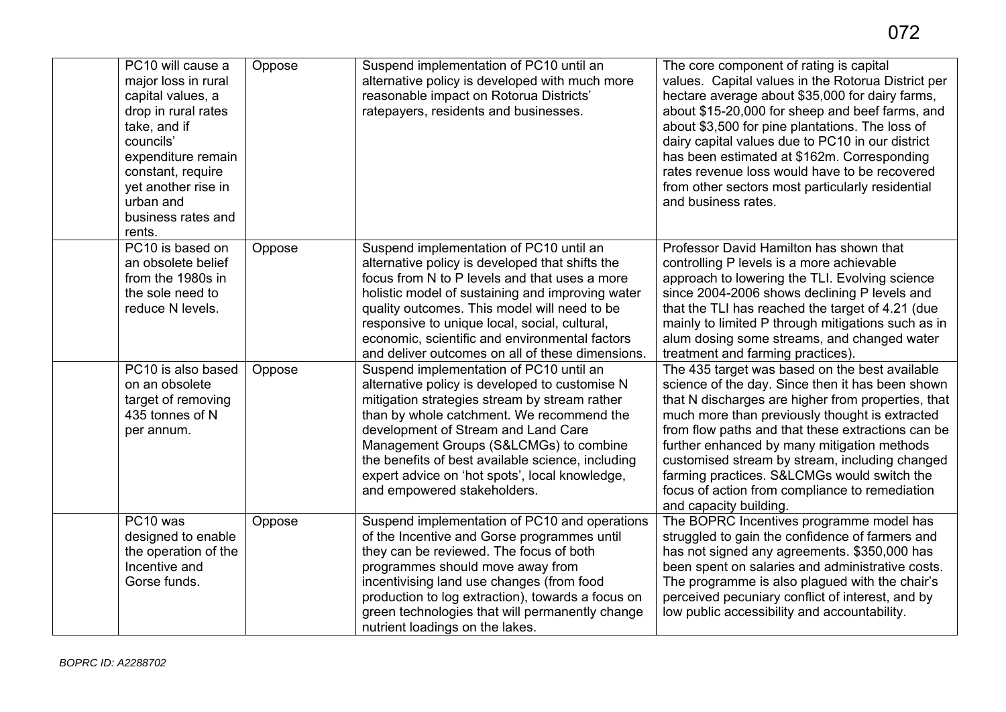| PC10 will cause a<br>major loss in rural<br>capital values, a<br>drop in rural rates<br>take, and if<br>councils'<br>expenditure remain<br>constant, require<br>yet another rise in<br>urban and<br>business rates and<br>rents. | Oppose | Suspend implementation of PC10 until an<br>alternative policy is developed with much more<br>reasonable impact on Rotorua Districts'<br>ratepayers, residents and businesses.                                                                                                                                                                                                                                  | The core component of rating is capital<br>values. Capital values in the Rotorua District per<br>hectare average about \$35,000 for dairy farms,<br>about \$15-20,000 for sheep and beef farms, and<br>about \$3,500 for pine plantations. The loss of<br>dairy capital values due to PC10 in our district<br>has been estimated at \$162m. Corresponding<br>rates revenue loss would have to be recovered<br>from other sectors most particularly residential<br>and business rates.       |
|----------------------------------------------------------------------------------------------------------------------------------------------------------------------------------------------------------------------------------|--------|----------------------------------------------------------------------------------------------------------------------------------------------------------------------------------------------------------------------------------------------------------------------------------------------------------------------------------------------------------------------------------------------------------------|---------------------------------------------------------------------------------------------------------------------------------------------------------------------------------------------------------------------------------------------------------------------------------------------------------------------------------------------------------------------------------------------------------------------------------------------------------------------------------------------|
| PC10 is based on<br>an obsolete belief<br>from the 1980s in<br>the sole need to<br>reduce N levels.                                                                                                                              | Oppose | Suspend implementation of PC10 until an<br>alternative policy is developed that shifts the<br>focus from N to P levels and that uses a more<br>holistic model of sustaining and improving water<br>quality outcomes. This model will need to be<br>responsive to unique local, social, cultural,<br>economic, scientific and environmental factors<br>and deliver outcomes on all of these dimensions.         | Professor David Hamilton has shown that<br>controlling P levels is a more achievable<br>approach to lowering the TLI. Evolving science<br>since 2004-2006 shows declining P levels and<br>that the TLI has reached the target of 4.21 (due<br>mainly to limited P through mitigations such as in<br>alum dosing some streams, and changed water<br>treatment and farming practices).                                                                                                        |
| PC10 is also based<br>on an obsolete<br>target of removing<br>435 tonnes of N<br>per annum.                                                                                                                                      | Oppose | Suspend implementation of PC10 until an<br>alternative policy is developed to customise N<br>mitigation strategies stream by stream rather<br>than by whole catchment. We recommend the<br>development of Stream and Land Care<br>Management Groups (S&LCMGs) to combine<br>the benefits of best available science, including<br>expert advice on 'hot spots', local knowledge,<br>and empowered stakeholders. | The 435 target was based on the best available<br>science of the day. Since then it has been shown<br>that N discharges are higher from properties, that<br>much more than previously thought is extracted<br>from flow paths and that these extractions can be<br>further enhanced by many mitigation methods<br>customised stream by stream, including changed<br>farming practices. S&LCMGs would switch the<br>focus of action from compliance to remediation<br>and capacity building. |
| PC <sub>10</sub> was<br>designed to enable<br>the operation of the<br>Incentive and<br>Gorse funds.                                                                                                                              | Oppose | Suspend implementation of PC10 and operations<br>of the Incentive and Gorse programmes until<br>they can be reviewed. The focus of both<br>programmes should move away from<br>incentivising land use changes (from food<br>production to log extraction), towards a focus on<br>green technologies that will permanently change<br>nutrient loadings on the lakes.                                            | The BOPRC Incentives programme model has<br>struggled to gain the confidence of farmers and<br>has not signed any agreements. \$350,000 has<br>been spent on salaries and administrative costs.<br>The programme is also plagued with the chair's<br>perceived pecuniary conflict of interest, and by<br>low public accessibility and accountability.                                                                                                                                       |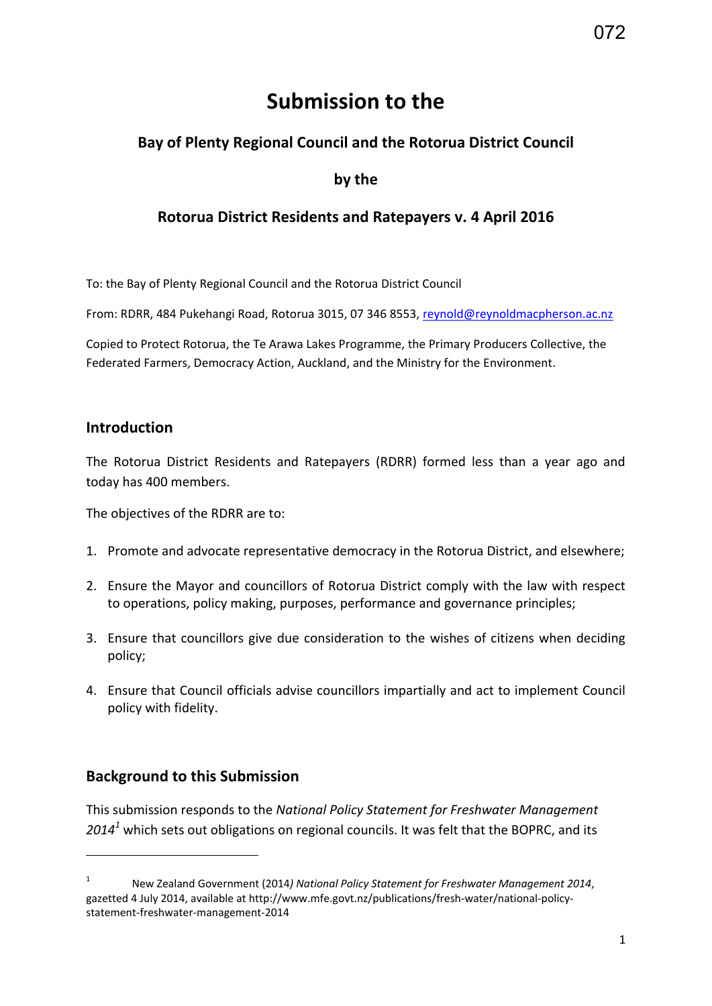# **Submission to the**

# **Bay of Plenty Regional Council and the Rotorua District Council**

## **by the**

# **Rotorua District Residents and Ratepayers v. 4 April 2016**

To: the Bay of Plenty Regional Council and the Rotorua District Council

From: RDRR, 484 Pukehangi Road, Rotorua 3015, 07 346 8553, [reynold@reynoldmacpherson.ac.nz](mailto:reynold@reynoldmacpherson.ac.nz)

Copied to Protect Rotorua, the Te Arawa Lakes Programme, the Primary Producers Collective, the Federated Farmers, Democracy Action, Auckland, and the Ministry for the Environment.

### **Introduction**

The Rotorua District Residents and Ratepayers (RDRR) formed less than a year ago and today has 400 members.

The objectives of the RDRR are to:

- 1. Promote and advocate representative democracy in the Rotorua District, and elsewhere;
- 2. Ensure the Mayor and councillors of Rotorua District comply with the law with respect to operations, policy making, purposes, performance and governance principles;
- 3. Ensure that councillors give due consideration to the wishes of citizens when deciding policy;
- 4. Ensure that Council officials advise councillors impartially and act to implement Council policy with fidelity.

# **Background to this Submission**

**.** 

This submission responds to the *National Policy Statement for Freshwater Management 2014<sup>1</sup>* which sets out obligations on regional councils. It was felt that the BOPRC, and its

<sup>1</sup> New Zealand Government (2014*) National Policy Statement for Freshwater Management 2014*, gazetted 4 July 2014, available at http://www.mfe.govt.nz/publications/fresh-water/national-policystatement-freshwater-management-2014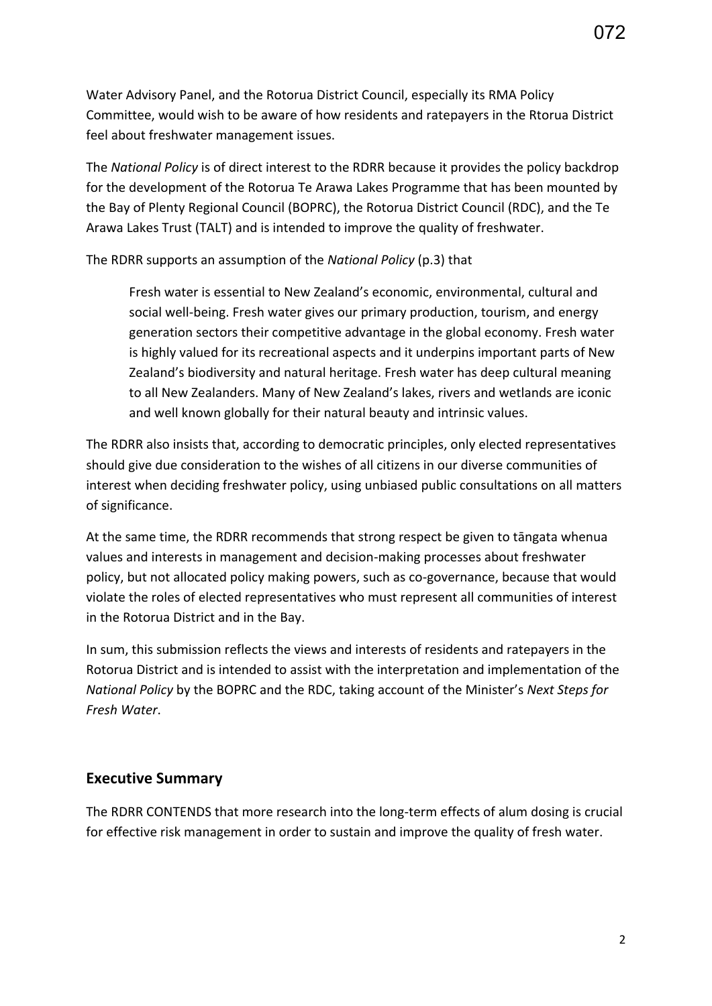Water Advisory Panel, and the Rotorua District Council, especially its RMA Policy Committee, would wish to be aware of how residents and ratepayers in the Rtorua District feel about freshwater management issues.

The *National Policy* is of direct interest to the RDRR because it provides the policy backdrop for the development of the Rotorua Te Arawa Lakes Programme that has been mounted by the Bay of Plenty Regional Council (BOPRC), the Rotorua District Council (RDC), and the Te Arawa Lakes Trust (TALT) and is intended to improve the quality of freshwater.

The RDRR supports an assumption of the *National Policy* (p.3) that

Fresh water is essential to New Zealand's economic, environmental, cultural and social well-being. Fresh water gives our primary production, tourism, and energy generation sectors their competitive advantage in the global economy. Fresh water is highly valued for its recreational aspects and it underpins important parts of New Zealand's biodiversity and natural heritage. Fresh water has deep cultural meaning to all New Zealanders. Many of New Zealand's lakes, rivers and wetlands are iconic and well known globally for their natural beauty and intrinsic values.

The RDRR also insists that, according to democratic principles, only elected representatives should give due consideration to the wishes of all citizens in our diverse communities of interest when deciding freshwater policy, using unbiased public consultations on all matters of significance.

At the same time, the RDRR recommends that strong respect be given to tāngata whenua values and interests in management and decision-making processes about freshwater policy, but not allocated policy making powers, such as co-governance, because that would violate the roles of elected representatives who must represent all communities of interest in the Rotorua District and in the Bay.

In sum, this submission reflects the views and interests of residents and ratepayers in the Rotorua District and is intended to assist with the interpretation and implementation of the *National Policy* by the BOPRC and the RDC, taking account of the Minister's *Next Steps for Fresh Water*.

# **Executive Summary**

The RDRR CONTENDS that more research into the long-term effects of alum dosing is crucial for effective risk management in order to sustain and improve the quality of fresh water.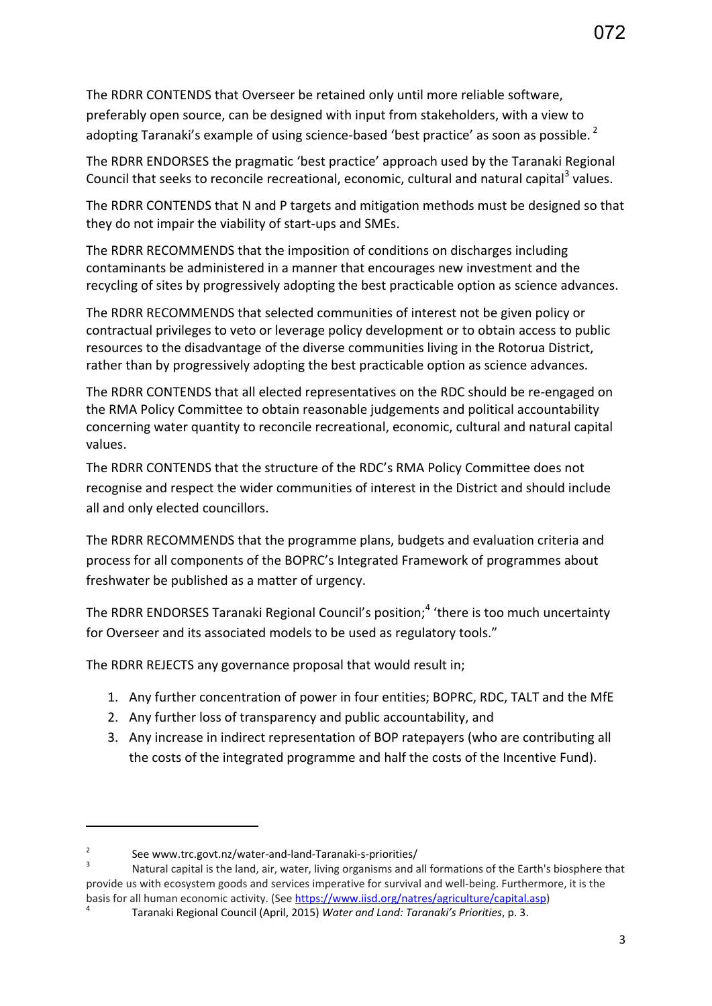The RDRR CONTENDS that Overseer be retained only until more reliable software, preferably open source, can be designed with input from stakeholders, with a view to adopting Taranaki's example of using science-based 'best practice' as soon as possible. $<sup>2</sup>$ </sup>

The RDRR ENDORSES the pragmatic 'best practice' approach used by the Taranaki Regional Council that seeks to reconcile recreational, economic, cultural and natural capital<sup>3</sup> values.

The RDRR CONTENDS that N and P targets and mitigation methods must be designed so that they do not impair the viability of start-ups and SMEs.

The RDRR RECOMMENDS that the imposition of conditions on discharges including contaminants be administered in a manner that encourages new investment and the recycling of sites by progressively adopting the best practicable option as science advances.

The RDRR RECOMMENDS that selected communities of interest not be given policy or contractual privileges to veto or leverage policy development or to obtain access to public resources to the disadvantage of the diverse communities living in the Rotorua District, rather than by progressively adopting the best practicable option as science advances.

The RDRR CONTENDS that all elected representatives on the RDC should be re-engaged on the RMA Policy Committee to obtain reasonable judgements and political accountability concerning water quantity to reconcile recreational, economic, cultural and natural capital values.

The RDRR CONTENDS that the structure of the RDC's RMA Policy Committee does not recognise and respect the wider communities of interest in the District and should include all and only elected councillors.

The RDRR RECOMMENDS that the programme plans, budgets and evaluation criteria and process for all components of the BOPRC's Integrated Framework of programmes about freshwater be published as a matter of urgency.

The RDRR ENDORSES Taranaki Regional Council's position;<sup>4</sup> 'there is too much uncertainty for Overseer and its associated models to be used as regulatory tools."

The RDRR REJECTS any governance proposal that would result in;

- 1. Any further concentration of power in four entities; BOPRC, RDC, TALT and the MfE
- 2. Any further loss of transparency and public accountability, and
- 3. Any increase in indirect representation of BOP ratepayers (who are contributing all the costs of the integrated programme and half the costs of the Incentive Fund).

**.** 

<sup>2</sup> See www.trc.govt.nz/water-and-land-Taranaki-s-priorities/

<sup>3</sup> Natural capital is the land, air, water, living organisms and all formations of the Earth's biosphere that provide us with ecosystem goods and services imperative for survival and well-being. Furthermore, it is the basis for all human economic activity. (Se[e https://www.iisd.org/natres/agriculture/capital.asp\)](https://www.iisd.org/natres/agriculture/capital.asp) 4

Taranaki Regional Council (April, 2015) *Water and Land: Taranaki's Priorities*, p. 3.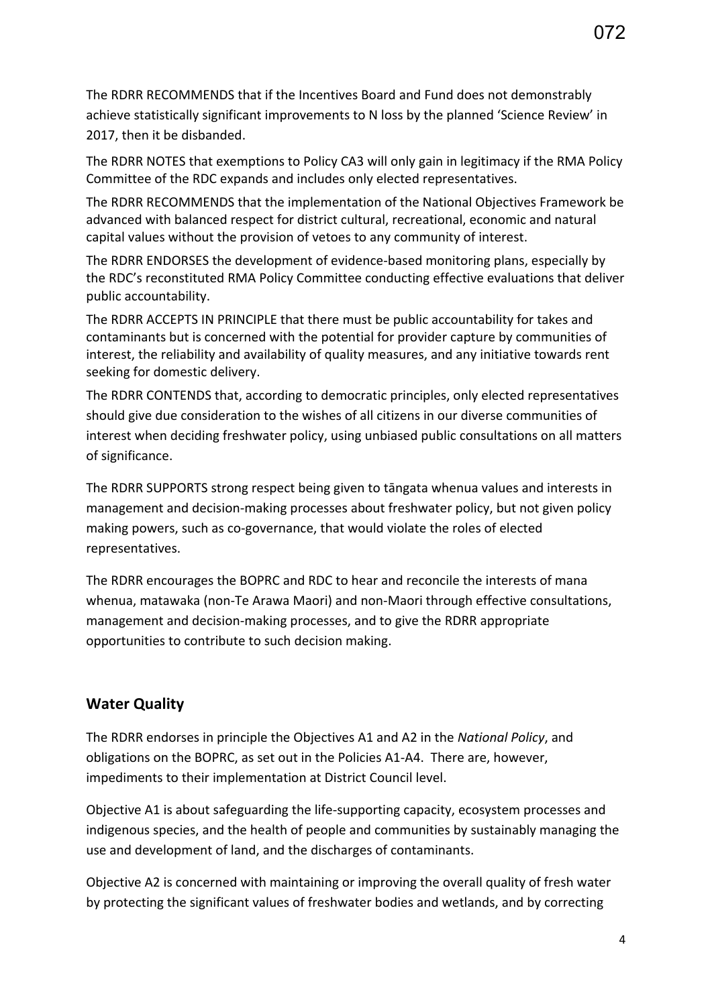The RDRR NOTES that exemptions to Policy CA3 will only gain in legitimacy if the RMA Policy Committee of the RDC expands and includes only elected representatives.

The RDRR RECOMMENDS that the implementation of the National Objectives Framework be advanced with balanced respect for district cultural, recreational, economic and natural capital values without the provision of vetoes to any community of interest.

The RDRR ENDORSES the development of evidence-based monitoring plans, especially by the RDC's reconstituted RMA Policy Committee conducting effective evaluations that deliver public accountability.

The RDRR ACCEPTS IN PRINCIPLE that there must be public accountability for takes and contaminants but is concerned with the potential for provider capture by communities of interest, the reliability and availability of quality measures, and any initiative towards rent seeking for domestic delivery.

The RDRR CONTENDS that, according to democratic principles, only elected representatives should give due consideration to the wishes of all citizens in our diverse communities of interest when deciding freshwater policy, using unbiased public consultations on all matters of significance.

The RDRR SUPPORTS strong respect being given to tāngata whenua values and interests in management and decision-making processes about freshwater policy, but not given policy making powers, such as co-governance, that would violate the roles of elected representatives.

The RDRR encourages the BOPRC and RDC to hear and reconcile the interests of mana whenua, matawaka (non-Te Arawa Maori) and non-Maori through effective consultations, management and decision-making processes, and to give the RDRR appropriate opportunities to contribute to such decision making.

# **Water Quality**

The RDRR endorses in principle the Objectives A1 and A2 in the *National Policy*, and obligations on the BOPRC, as set out in the Policies A1-A4. There are, however, impediments to their implementation at District Council level.

Objective A1 is about safeguarding the life-supporting capacity, ecosystem processes and indigenous species, and the health of people and communities by sustainably managing the use and development of land, and the discharges of contaminants.

Objective A2 is concerned with maintaining or improving the overall quality of fresh water by protecting the significant values of freshwater bodies and wetlands, and by correcting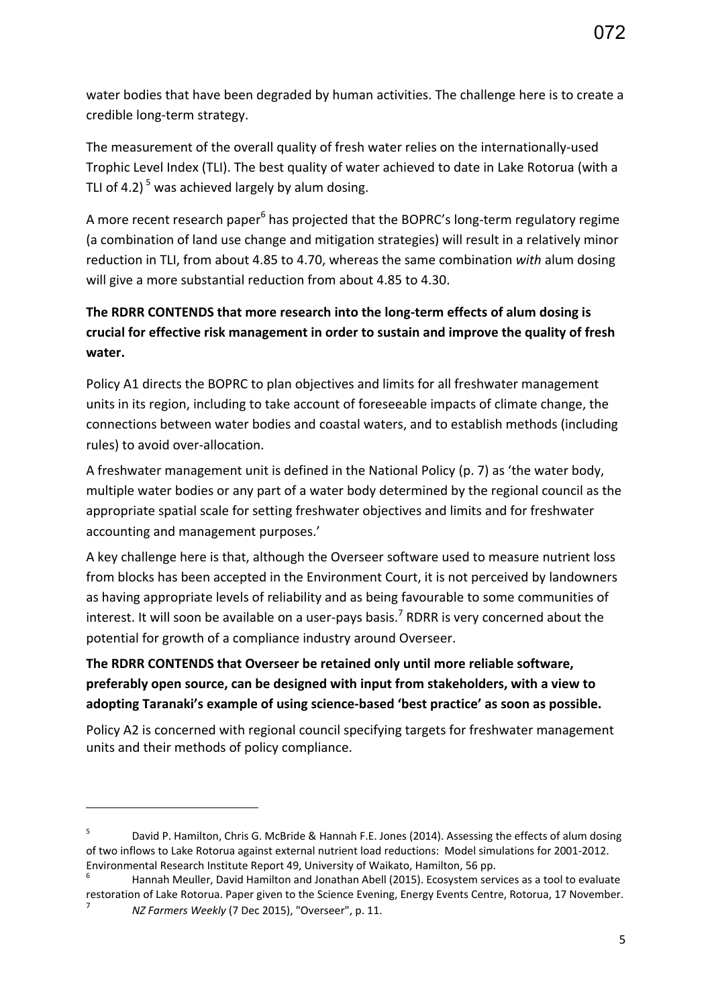water bodies that have been degraded by human activities. The challenge here is to create a credible long-term strategy.

The measurement of the overall quality of fresh water relies on the internationally-used Trophic Level Index (TLI). The best quality of water achieved to date in Lake Rotorua (with a TLI of 4.2)<sup>5</sup> was achieved largely by alum dosing.

A more recent research paper<sup>6</sup> has projected that the BOPRC's long-term regulatory regime (a combination of land use change and mitigation strategies) will result in a relatively minor reduction in TLI, from about 4.85 to 4.70, whereas the same combination *with* alum dosing will give a more substantial reduction from about 4.85 to 4.30.

# **The RDRR CONTENDS that more research into the long-term effects of alum dosing is crucial for effective risk management in order to sustain and improve the quality of fresh water.**

Policy A1 directs the BOPRC to plan objectives and limits for all freshwater management units in its region, including to take account of foreseeable impacts of climate change, the connections between water bodies and coastal waters, and to establish methods (including rules) to avoid over-allocation.

A freshwater management unit is defined in the National Policy (p. 7) as 'the water body, multiple water bodies or any part of a water body determined by the regional council as the appropriate spatial scale for setting freshwater objectives and limits and for freshwater accounting and management purposes.'

A key challenge here is that, although the Overseer software used to measure nutrient loss from blocks has been accepted in the Environment Court, it is not perceived by landowners as having appropriate levels of reliability and as being favourable to some communities of interest. It will soon be available on a user-pays basis.<sup>7</sup> RDRR is very concerned about the potential for growth of a compliance industry around Overseer.

# **The RDRR CONTENDS that Overseer be retained only until more reliable software, preferably open source, can be designed with input from stakeholders, with a view to adopting Taranaki's example of using science-based 'best practice' as soon as possible.**

Policy A2 is concerned with regional council specifying targets for freshwater management units and their methods of policy compliance.

**.** 

<sup>5</sup> David P. Hamilton, Chris G. McBride & Hannah F.E. Jones (2014). Assessing the effects of alum dosing of two inflows to Lake Rotorua against external nutrient load reductions: Model simulations for 2001-2012. Environmental Research Institute Report 49, University of Waikato, Hamilton, 56 pp.

<sup>6</sup> Hannah Meuller, David Hamilton and Jonathan Abell (2015). Ecosystem services as a tool to evaluate restoration of Lake Rotorua. Paper given to the Science Evening, Energy Events Centre, Rotorua, 17 November. 7 *NZ Farmers Weekly* (7 Dec 2015), "Overseer", p. 11.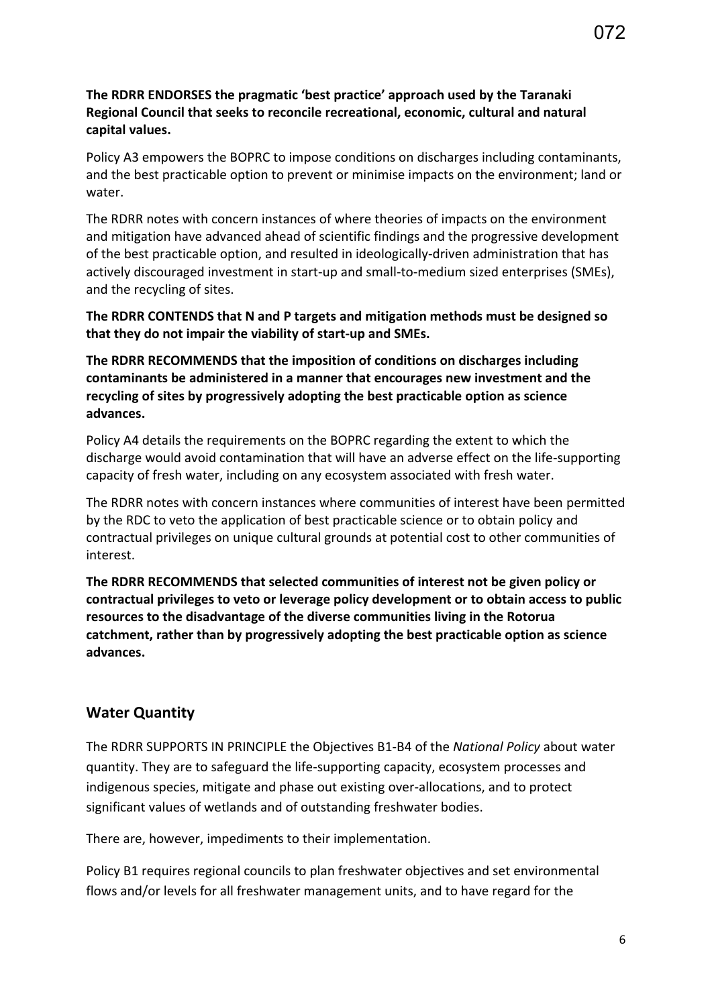#### **The RDRR ENDORSES the pragmatic 'best practice' approach used by the Taranaki Regional Council that seeks to reconcile recreational, economic, cultural and natural capital values.**

Policy A3 empowers the BOPRC to impose conditions on discharges including contaminants, and the best practicable option to prevent or minimise impacts on the environment; land or water.

The RDRR notes with concern instances of where theories of impacts on the environment and mitigation have advanced ahead of scientific findings and the progressive development of the best practicable option, and resulted in ideologically-driven administration that has actively discouraged investment in start-up and small-to-medium sized enterprises (SMEs), and the recycling of sites.

**The RDRR CONTENDS that N and P targets and mitigation methods must be designed so that they do not impair the viability of start-up and SMEs.** 

**The RDRR RECOMMENDS that the imposition of conditions on discharges including contaminants be administered in a manner that encourages new investment and the recycling of sites by progressively adopting the best practicable option as science advances.** 

Policy A4 details the requirements on the BOPRC regarding the extent to which the discharge would avoid contamination that will have an adverse effect on the life-supporting capacity of fresh water, including on any ecosystem associated with fresh water.

The RDRR notes with concern instances where communities of interest have been permitted by the RDC to veto the application of best practicable science or to obtain policy and contractual privileges on unique cultural grounds at potential cost to other communities of interest.

**The RDRR RECOMMENDS that selected communities of interest not be given policy or contractual privileges to veto or leverage policy development or to obtain access to public resources to the disadvantage of the diverse communities living in the Rotorua catchment, rather than by progressively adopting the best practicable option as science advances.** 

#### **Water Quantity**

The RDRR SUPPORTS IN PRINCIPLE the Objectives B1-B4 of the *National Policy* about water quantity. They are to safeguard the life-supporting capacity, ecosystem processes and indigenous species, mitigate and phase out existing over-allocations, and to protect significant values of wetlands and of outstanding freshwater bodies.

There are, however, impediments to their implementation.

Policy B1 requires regional councils to plan freshwater objectives and set environmental flows and/or levels for all freshwater management units, and to have regard for the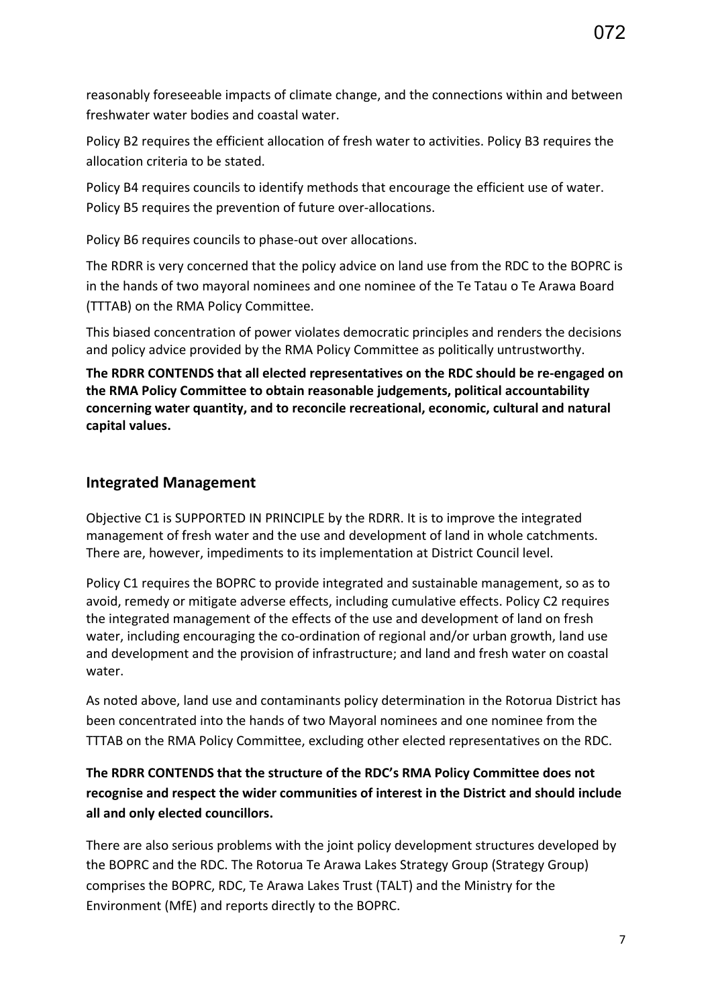reasonably foreseeable impacts of climate change, and the connections within and between freshwater water bodies and coastal water.

Policy B2 requires the efficient allocation of fresh water to activities. Policy B3 requires the allocation criteria to be stated.

Policy B4 requires councils to identify methods that encourage the efficient use of water. Policy B5 requires the prevention of future over-allocations.

Policy B6 requires councils to phase-out over allocations.

The RDRR is very concerned that the policy advice on land use from the RDC to the BOPRC is in the hands of two mayoral nominees and one nominee of the Te Tatau o Te Arawa Board (TTTAB) on the RMA Policy Committee.

This biased concentration of power violates democratic principles and renders the decisions and policy advice provided by the RMA Policy Committee as politically untrustworthy.

**The RDRR CONTENDS that all elected representatives on the RDC should be re-engaged on the RMA Policy Committee to obtain reasonable judgements, political accountability concerning water quantity, and to reconcile recreational, economic, cultural and natural capital values.** 

## **Integrated Management**

Objective C1 is SUPPORTED IN PRINCIPLE by the RDRR. It is to improve the integrated management of fresh water and the use and development of land in whole catchments. There are, however, impediments to its implementation at District Council level.

Policy C1 requires the BOPRC to provide integrated and sustainable management, so as to avoid, remedy or mitigate adverse effects, including cumulative effects. Policy C2 requires the integrated management of the effects of the use and development of land on fresh water, including encouraging the co-ordination of regional and/or urban growth, land use and development and the provision of infrastructure; and land and fresh water on coastal water.

As noted above, land use and contaminants policy determination in the Rotorua District has been concentrated into the hands of two Mayoral nominees and one nominee from the TTTAB on the RMA Policy Committee, excluding other elected representatives on the RDC.

# **The RDRR CONTENDS that the structure of the RDC's RMA Policy Committee does not recognise and respect the wider communities of interest in the District and should include all and only elected councillors.**

There are also serious problems with the joint policy development structures developed by the BOPRC and the RDC. The Rotorua Te Arawa Lakes Strategy Group (Strategy Group) comprises the BOPRC, RDC, Te Arawa Lakes Trust (TALT) and the Ministry for the Environment (MfE) and reports directly to the BOPRC.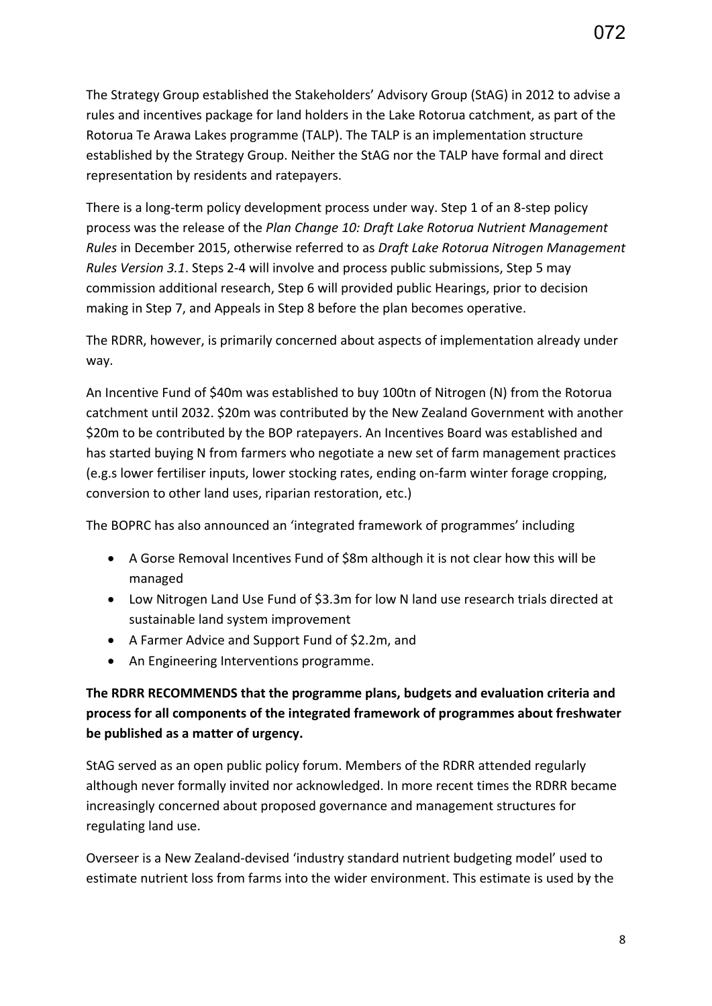The Strategy Group established the Stakeholders' Advisory Group (StAG) in 2012 to advise a rules and incentives package for land holders in the Lake Rotorua catchment, as part of the Rotorua Te Arawa Lakes programme (TALP). The TALP is an implementation structure established by the Strategy Group. Neither the StAG nor the TALP have formal and direct representation by residents and ratepayers.

There is a long-term policy development process under way. Step 1 of an 8-step policy process was the release of the *Plan Change 10: Draft Lake Rotorua Nutrient Management Rules* in December 2015, otherwise referred to as *Draft Lake Rotorua Nitrogen Management Rules Version 3.1*. Steps 2-4 will involve and process public submissions, Step 5 may commission additional research, Step 6 will provided public Hearings, prior to decision making in Step 7, and Appeals in Step 8 before the plan becomes operative.

The RDRR, however, is primarily concerned about aspects of implementation already under way.

An Incentive Fund of \$40m was established to buy 100tn of Nitrogen (N) from the Rotorua catchment until 2032. \$20m was contributed by the New Zealand Government with another \$20m to be contributed by the BOP ratepayers. An Incentives Board was established and has started buying N from farmers who negotiate a new set of farm management practices (e.g.s lower fertiliser inputs, lower stocking rates, ending on-farm winter forage cropping, conversion to other land uses, riparian restoration, etc.)

The BOPRC has also announced an 'integrated framework of programmes' including

- A Gorse Removal Incentives Fund of \$8m although it is not clear how this will be managed
- Low Nitrogen Land Use Fund of \$3.3m for low N land use research trials directed at sustainable land system improvement
- A Farmer Advice and Support Fund of \$2.2m, and
- An Engineering Interventions programme.

## **The RDRR RECOMMENDS that the programme plans, budgets and evaluation criteria and process for all components of the integrated framework of programmes about freshwater be published as a matter of urgency.**

StAG served as an open public policy forum. Members of the RDRR attended regularly although never formally invited nor acknowledged. In more recent times the RDRR became increasingly concerned about proposed governance and management structures for regulating land use.

Overseer is a New Zealand-devised 'industry standard nutrient budgeting model' used to estimate nutrient loss from farms into the wider environment. This estimate is used by the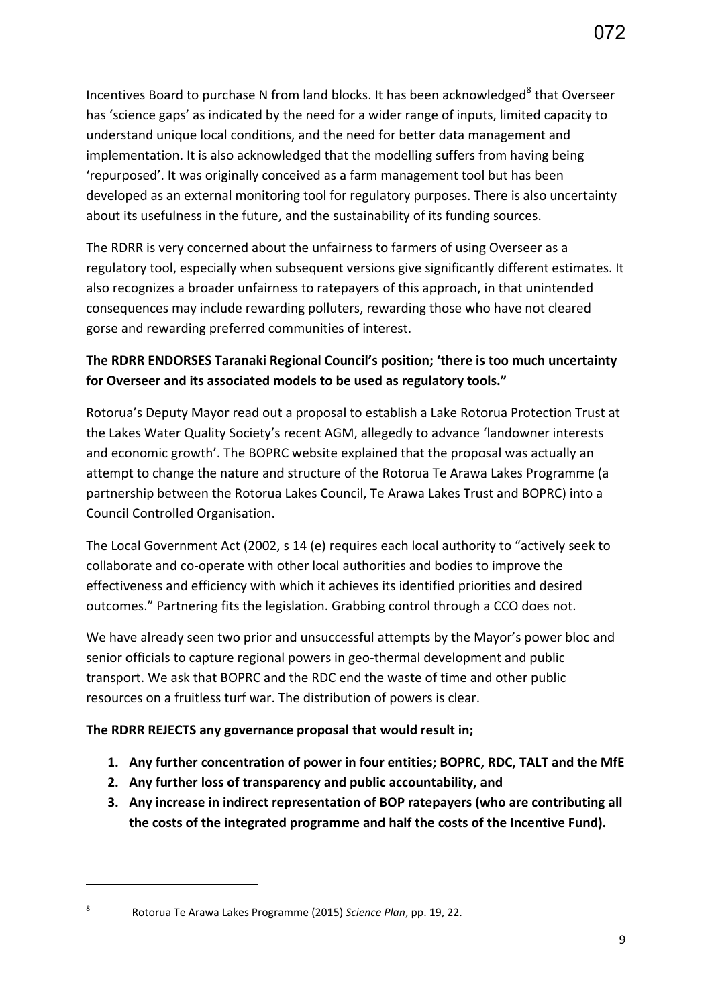Incentives Board to purchase N from land blocks. It has been acknowledged<sup>8</sup> that Overseer has 'science gaps' as indicated by the need for a wider range of inputs, limited capacity to understand unique local conditions, and the need for better data management and implementation. It is also acknowledged that the modelling suffers from having being 'repurposed'. It was originally conceived as a farm management tool but has been developed as an external monitoring tool for regulatory purposes. There is also uncertainty about its usefulness in the future, and the sustainability of its funding sources.

The RDRR is very concerned about the unfairness to farmers of using Overseer as a regulatory tool, especially when subsequent versions give significantly different estimates. It also recognizes a broader unfairness to ratepayers of this approach, in that unintended consequences may include rewarding polluters, rewarding those who have not cleared gorse and rewarding preferred communities of interest.

# **The RDRR ENDORSES Taranaki Regional Council's position; 'there is too much uncertainty for Overseer and its associated models to be used as regulatory tools."**

Rotorua's Deputy Mayor read out a proposal to establish a Lake Rotorua Protection Trust at the Lakes Water Quality Society's recent AGM, allegedly to advance 'landowner interests and economic growth'. The BOPRC website explained that the proposal was actually an attempt to change the nature and structure of the Rotorua Te Arawa Lakes Programme (a partnership between the Rotorua Lakes Council, Te Arawa Lakes Trust and BOPRC) into a Council Controlled Organisation.

The Local Government Act (2002, s 14 (e) requires each local authority to "actively seek to collaborate and co-operate with other local authorities and bodies to improve the effectiveness and efficiency with which it achieves its identified priorities and desired outcomes." Partnering fits the legislation. Grabbing control through a CCO does not.

We have already seen two prior and unsuccessful attempts by the Mayor's power bloc and senior officials to capture regional powers in geo-thermal development and public transport. We ask that BOPRC and the RDC end the waste of time and other public resources on a fruitless turf war. The distribution of powers is clear.

### **The RDRR REJECTS any governance proposal that would result in;**

- **1. Any further concentration of power in four entities; BOPRC, RDC, TALT and the MfE**
- **2. Any further loss of transparency and public accountability, and**
- **3. Any increase in indirect representation of BOP ratepayers (who are contributing all the costs of the integrated programme and half the costs of the Incentive Fund).**

**.** 

Rotorua Te Arawa Lakes Programme (2015) *Science Plan*, pp. 19, 22.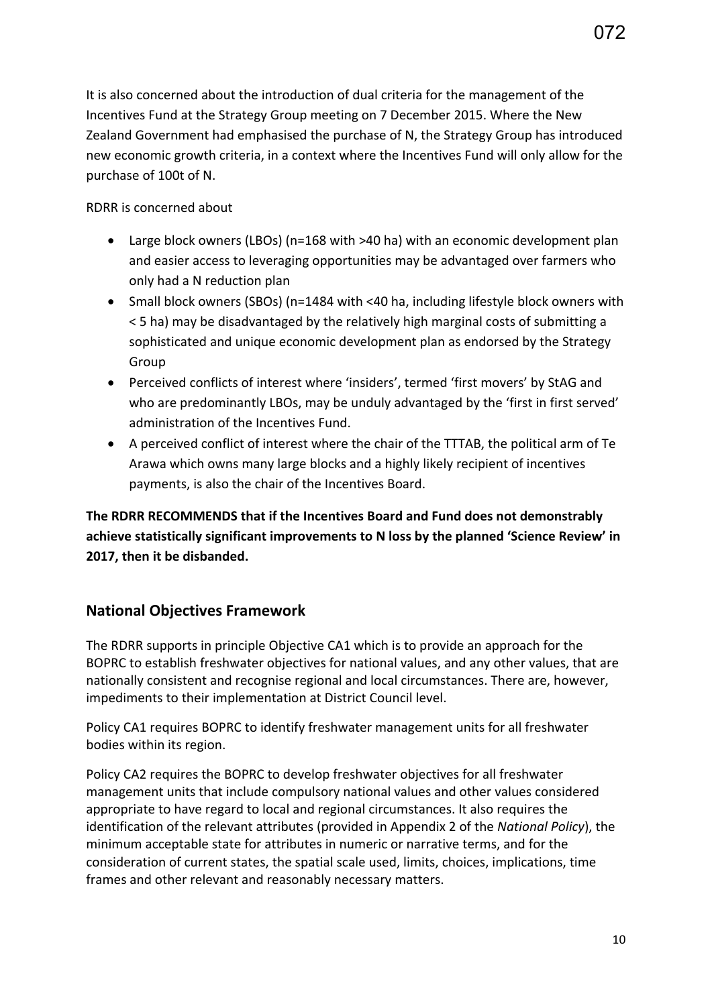It is also concerned about the introduction of dual criteria for the management of the Incentives Fund at the Strategy Group meeting on 7 December 2015. Where the New Zealand Government had emphasised the purchase of N, the Strategy Group has introduced new economic growth criteria, in a context where the Incentives Fund will only allow for the purchase of 100t of N.

#### RDRR is concerned about

- Large block owners (LBOs) (n=168 with >40 ha) with an economic development plan and easier access to leveraging opportunities may be advantaged over farmers who only had a N reduction plan
- Small block owners (SBOs) (n=1484 with <40 ha, including lifestyle block owners with < 5 ha) may be disadvantaged by the relatively high marginal costs of submitting a sophisticated and unique economic development plan as endorsed by the Strategy Group
- Perceived conflicts of interest where 'insiders', termed 'first movers' by StAG and who are predominantly LBOs, may be unduly advantaged by the 'first in first served' administration of the Incentives Fund.
- A perceived conflict of interest where the chair of the TTTAB, the political arm of Te Arawa which owns many large blocks and a highly likely recipient of incentives payments, is also the chair of the Incentives Board.

**The RDRR RECOMMENDS that if the Incentives Board and Fund does not demonstrably achieve statistically significant improvements to N loss by the planned 'Science Review' in 2017, then it be disbanded.** 

# **National Objectives Framework**

The RDRR supports in principle Objective CA1 which is to provide an approach for the BOPRC to establish freshwater objectives for national values, and any other values, that are nationally consistent and recognise regional and local circumstances. There are, however, impediments to their implementation at District Council level.

Policy CA1 requires BOPRC to identify freshwater management units for all freshwater bodies within its region.

Policy CA2 requires the BOPRC to develop freshwater objectives for all freshwater management units that include compulsory national values and other values considered appropriate to have regard to local and regional circumstances. It also requires the identification of the relevant attributes (provided in Appendix 2 of the *National Policy*), the minimum acceptable state for attributes in numeric or narrative terms, and for the consideration of current states, the spatial scale used, limits, choices, implications, time frames and other relevant and reasonably necessary matters.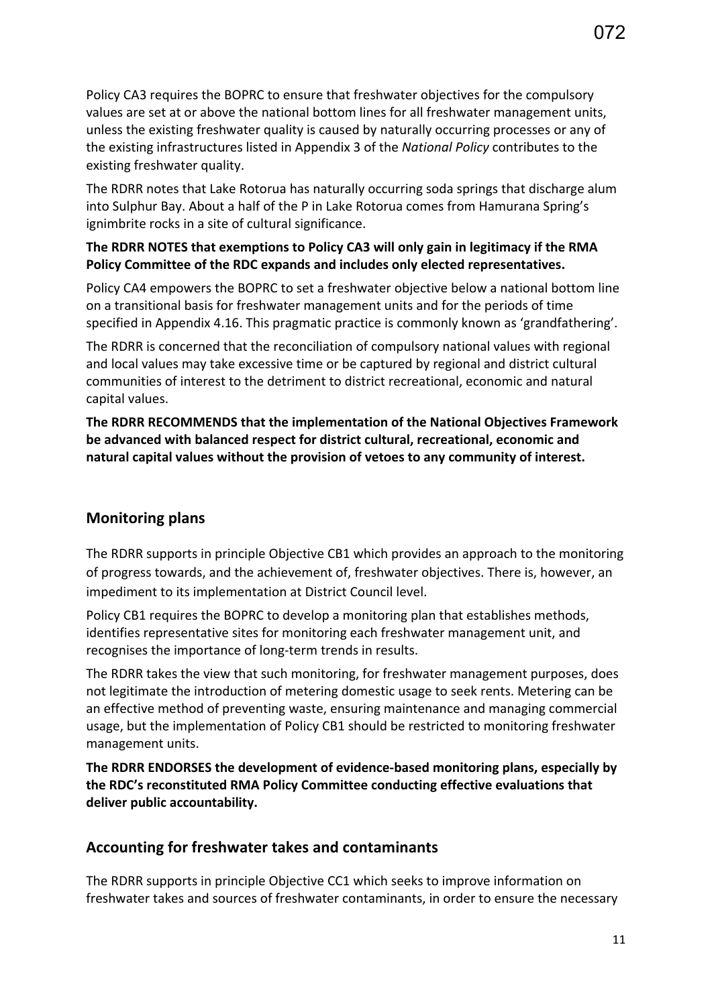Policy CA3 requires the BOPRC to ensure that freshwater objectives for the compulsory values are set at or above the national bottom lines for all freshwater management units, unless the existing freshwater quality is caused by naturally occurring processes or any of the existing infrastructures listed in Appendix 3 of the *National Policy* contributes to the existing freshwater quality.

The RDRR notes that Lake Rotorua has naturally occurring soda springs that discharge alum into Sulphur Bay. About a half of the P in Lake Rotorua comes from Hamurana Spring's ignimbrite rocks in a site of cultural significance.

#### **The RDRR NOTES that exemptions to Policy CA3 will only gain in legitimacy if the RMA Policy Committee of the RDC expands and includes only elected representatives.**

Policy CA4 empowers the BOPRC to set a freshwater objective below a national bottom line on a transitional basis for freshwater management units and for the periods of time specified in Appendix 4.16. This pragmatic practice is commonly known as 'grandfathering'.

The RDRR is concerned that the reconciliation of compulsory national values with regional and local values may take excessive time or be captured by regional and district cultural communities of interest to the detriment to district recreational, economic and natural capital values.

**The RDRR RECOMMENDS that the implementation of the National Objectives Framework be advanced with balanced respect for district cultural, recreational, economic and natural capital values without the provision of vetoes to any community of interest.** 

# **Monitoring plans**

The RDRR supports in principle Objective CB1 which provides an approach to the monitoring of progress towards, and the achievement of, freshwater objectives. There is, however, an impediment to its implementation at District Council level.

Policy CB1 requires the BOPRC to develop a monitoring plan that establishes methods, identifies representative sites for monitoring each freshwater management unit, and recognises the importance of long-term trends in results.

The RDRR takes the view that such monitoring, for freshwater management purposes, does not legitimate the introduction of metering domestic usage to seek rents. Metering can be an effective method of preventing waste, ensuring maintenance and managing commercial usage, but the implementation of Policy CB1 should be restricted to monitoring freshwater management units.

**The RDRR ENDORSES the development of evidence-based monitoring plans, especially by the RDC's reconstituted RMA Policy Committee conducting effective evaluations that deliver public accountability.** 

# **Accounting for freshwater takes and contaminants**

The RDRR supports in principle Objective CC1 which seeks to improve information on freshwater takes and sources of freshwater contaminants, in order to ensure the necessary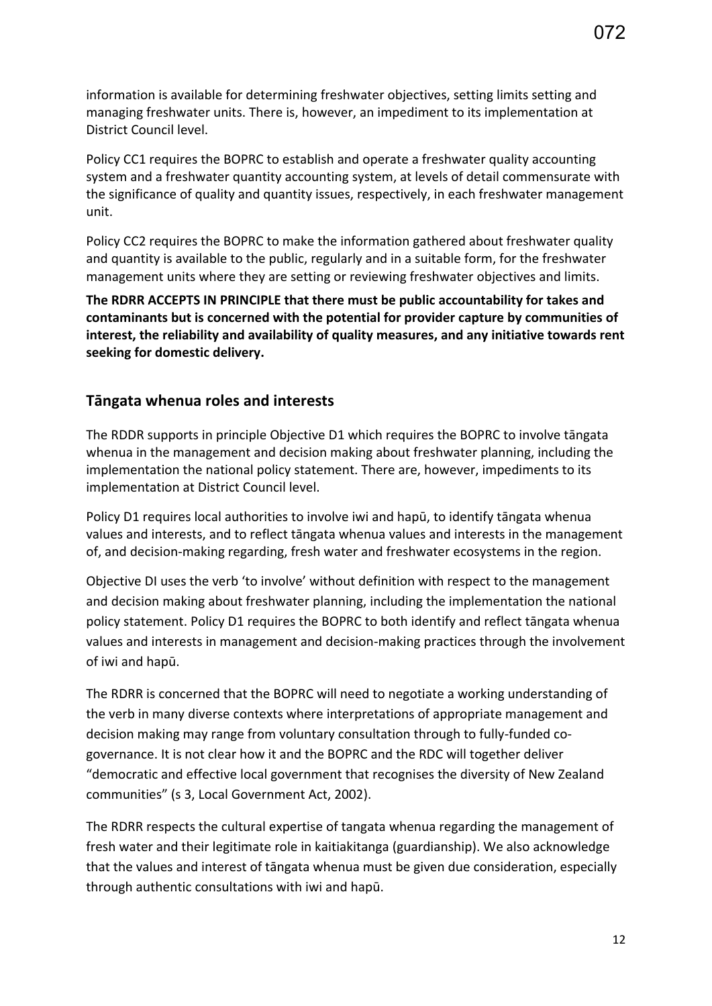information is available for determining freshwater objectives, setting limits setting and managing freshwater units. There is, however, an impediment to its implementation at District Council level.

Policy CC1 requires the BOPRC to establish and operate a freshwater quality accounting system and a freshwater quantity accounting system, at levels of detail commensurate with the significance of quality and quantity issues, respectively, in each freshwater management unit.

Policy CC2 requires the BOPRC to make the information gathered about freshwater quality and quantity is available to the public, regularly and in a suitable form, for the freshwater management units where they are setting or reviewing freshwater objectives and limits.

**The RDRR ACCEPTS IN PRINCIPLE that there must be public accountability for takes and contaminants but is concerned with the potential for provider capture by communities of interest, the reliability and availability of quality measures, and any initiative towards rent seeking for domestic delivery.** 

#### **Tāngata whenua roles and interests**

The RDDR supports in principle Objective D1 which requires the BOPRC to involve tāngata whenua in the management and decision making about freshwater planning, including the implementation the national policy statement. There are, however, impediments to its implementation at District Council level.

Policy D1 requires local authorities to involve iwi and hapū, to identify tāngata whenua values and interests, and to reflect tāngata whenua values and interests in the management of, and decision-making regarding, fresh water and freshwater ecosystems in the region.

Objective DI uses the verb 'to involve' without definition with respect to the management and decision making about freshwater planning, including the implementation the national policy statement. Policy D1 requires the BOPRC to both identify and reflect tāngata whenua values and interests in management and decision-making practices through the involvement of iwi and hapū.

The RDRR is concerned that the BOPRC will need to negotiate a working understanding of the verb in many diverse contexts where interpretations of appropriate management and decision making may range from voluntary consultation through to fully-funded cogovernance. It is not clear how it and the BOPRC and the RDC will together deliver "democratic and effective local government that recognises the diversity of New Zealand communities" (s 3, Local Government Act, 2002).

The RDRR respects the cultural expertise of tangata whenua regarding the management of fresh water and their legitimate role in kaitiakitanga (guardianship). We also acknowledge that the values and interest of tāngata whenua must be given due consideration, especially through authentic consultations with iwi and hapū.